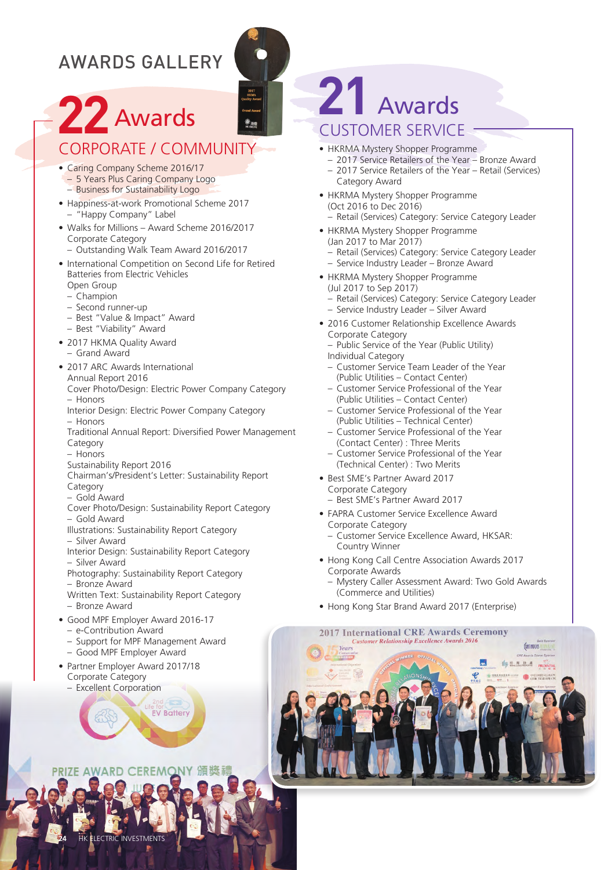### AWARDS GALLERY

# **22** Awards

### CORpORATE / COMMUnITy

- Caring Company Scheme 2016/17 – 5 years plus Caring Company Logo
	- Business for Sustainability Logo
- Happiness-at-work Promotional Scheme 2017 – "Happy Company" Label
- Walks for Millions Award Scheme 2016/2017 Corporate Category
	- Outstanding Walk Team Award 2016/2017
- International Competition on Second Life for Retired Batteries from Electric Vehicles
	- Open Group – Champion
	- Second runner-up
	- Best "Value & Impact" Award
	- Best "Viability" Award
- 2017 HKMA Ouality Award
	- Grand Award
- 2017 ARC Awards International
- Annual Report 2016

Cover photo/Design: Electric power Company Category – Honors

- Interior Design: Electric Power Company Category – Honors
- Traditional Annual Report: Diversified power Management Category
- Honors
- Sustainability Report 2016
- Chairman's/president's Letter: Sustainability Report Category
- Gold Award
- Cover photo/Design: Sustainability Report Category – Gold Award
- Illustrations: Sustainability Report Category
- Silver Award
- Interior Design: Sustainability Report Category – Silver Award
- photography: Sustainability Report Category – Bronze Award
- 
- Written Text: Sustainability Report Category
- Bronze Award
- Good MPF Employer Award 2016-17
	- e-Contribution Award
	- Support for MpF Management Award

**EV Battery** 

- Good MpF Employer Award
- Partner Employer Award 2017/18 Corporate Category
	- Excellent Corporation

## **21** Awards CUSTOMER SERVICE

- HKRMA Mystery Shopper Programme
	- 2017 Service Retailers of the year Bronze Award – 2017 Service Retailers of the year – Retail (Services) Category Award
- HKRMA Mystery Shopper Programme (Oct 2016 to Dec 2016) – Retail (Services) Category: Service Category Leader
- HKRMA Mystery Shopper Programme (Jan 2017 to Mar 2017) – Retail (Services) Category: Service Category Leader – Service Industry Leader – Bronze Award
- HKRMA Mystery Shopper Programme (Jul 2017 to Sep 2017)
	- Retail (Services) Category: Service Category Leader – Service Industry Leader – Silver Award
- 2016 Customer Relationship Excellence Awards Corporate Category
	- public Service of the year (public Utility) Individual Category
	- Customer Service Team Leader of the year (public Utilities – Contact Center)
	- Customer Service professional of the year (public Utilities – Contact Center)
	- Customer Service professional of the year (public Utilities – Technical Center)
	- Customer Service professional of the year (Contact Center) : Three Merits
	- Customer Service professional of the year (Technical Center) : Two Merits
- Best SME's Partner Award 2017 Corporate Category
	- Best SME's partner Award 2017
- FAPRA Customer Service Excellence Award Corporate Category
	- Customer Service Excellence Award, HKSAR: Country Winner
- Hong Kong Call Centre Association Awards 2017 Corporate Awards
	- Mystery Caller Assessment Award: Two Gold Awards (Commerce and Utilities)
- Hong Kong Star Brand Award 2017 (Enterprise)

#### **2017 International CRE Awards Ceremony Customer Relationship Excellence Awards 2016**